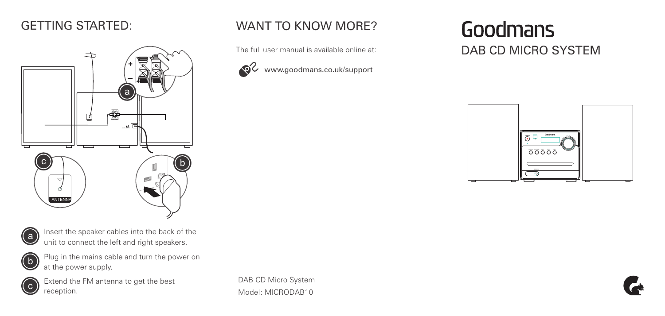## GETTING STARTED:



# a

Insert the speaker cables into the back of the unit to connect the left and right speakers.



 $\bigodot$  Plug in the mains cable and turn the power on at the nower supply. at the power supply.



Extend the FM antenna to get the best  $\overline{c}$  reception.

DAB CD Micro System Model: MICRODAB10

WANT TO KNOW MORE?

The full user manual is available online at:

www.goodmans.co.uk/support

Goodmans DAB CD MICRO SYSTEM